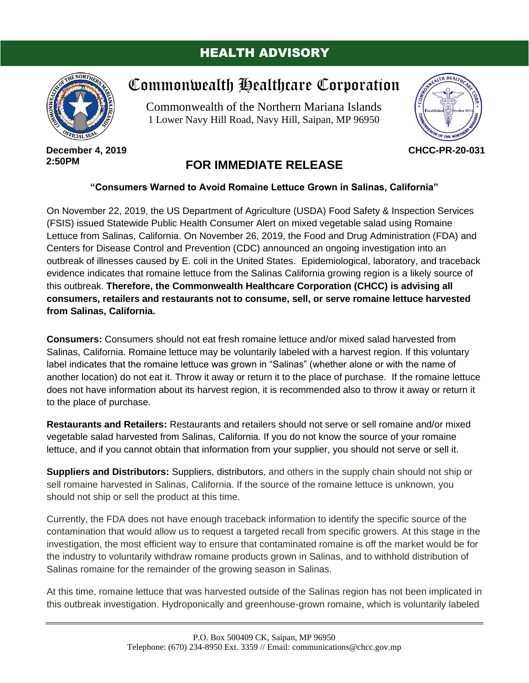## HEALTH ADVISORY



**December 4, 2019 2:50PM**

## Commonwealth Healthcare Corporation

Commonwealth of the Northern Mariana Islands 1 Lower Navy Hill Road, Navy Hill, Saipan, MP 96950



**CHCC-PR-20-031**

## **FOR IMMEDIATE RELEASE**

## **"Consumers Warned to Avoid Romaine Lettuce Grown in Salinas, California"**

On November 22, 2019, the US Department of Agriculture (USDA) Food Safety & Inspection Services (FSIS) issued Statewide Public Health Consumer Alert on mixed vegetable salad using Romaine Lettuce from Salinas, California. On November 26, 2019, the Food and Drug Administration (FDA) and Centers for Disease Control and Prevention (CDC) announced an ongoing investigation into an outbreak of illnesses caused by E. coli in the United States. Epidemiological, laboratory, and traceback evidence indicates that romaine lettuce from the Salinas California growing region is a likely source of this outbreak. **Therefore, the Commonwealth Healthcare Corporation (CHCC) is advising all consumers, retailers and restaurants not to consume, sell, or serve romaine lettuce harvested from Salinas, California.**

**Consumers:** Consumers should not eat fresh romaine lettuce and/or mixed salad harvested from Salinas, California. Romaine lettuce may be voluntarily labeled with a harvest region. If this voluntary label indicates that the romaine lettuce was grown in "Salinas" (whether alone or with the name of another location) do not eat it. Throw it away or return it to the place of purchase. If the romaine lettuce does not have information about its harvest region, it is recommended also to throw it away or return it to the place of purchase.

**Restaurants and Retailers:** Restaurants and retailers should not serve or sell romaine and/or mixed vegetable salad harvested from Salinas, California. If you do not know the source of your romaine lettuce, and if you cannot obtain that information from your supplier, you should not serve or sell it.

**Suppliers and Distributors:** Suppliers, distributors, and others in the supply chain should not ship or sell romaine harvested in Salinas, California. If the source of the romaine lettuce is unknown, you should not ship or sell the product at this time.

Currently, the FDA does not have enough traceback information to identify the specific source of the contamination that would allow us to request a targeted recall from specific growers. At this stage in the investigation, the most efficient way to ensure that contaminated romaine is off the market would be for the industry to voluntarily withdraw romaine products grown in Salinas, and to withhold distribution of Salinas romaine for the remainder of the growing season in Salinas.

At this time, romaine lettuce that was harvested outside of the Salinas region has not been implicated in this outbreak investigation. Hydroponically and greenhouse-grown romaine, which is voluntarily labeled